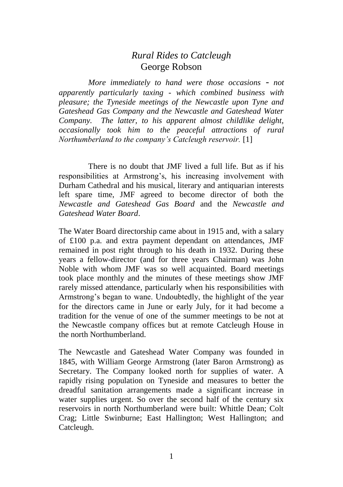## *Rural Rides to Catcleugh* George Robson

*More immediately to hand were those occasions - not apparently particularly taxing - which combined business with pleasure; the Tyneside meetings of the Newcastle upon Tyne and Gateshead Gas Company and the Newcastle and Gateshead Water Company. The latter, to his apparent almost childlike delight, occasionally took him to the peaceful attractions of rural Northumberland to the company's Catcleugh reservoir.* [1]

There is no doubt that JMF lived a full life. But as if his responsibilities at Armstrong's, his increasing involvement with Durham Cathedral and his musical, literary and antiquarian interests left spare time, JMF agreed to become director of both the *Newcastle and Gateshead Gas Board* and the *Newcastle and Gateshead Water Board*.

The Water Board directorship came about in 1915 and, with a salary of £100 p.a. and extra payment dependant on attendances, JMF remained in post right through to his death in 1932. During these years a fellow-director (and for three years Chairman) was John Noble with whom JMF was so well acquainted. Board meetings took place monthly and the minutes of these meetings show JMF rarely missed attendance, particularly when his responsibilities with Armstrong's began to wane. Undoubtedly, the highlight of the year for the directors came in June or early July, for it had become a tradition for the venue of one of the summer meetings to be not at the Newcastle company offices but at remote Catcleugh House in the north Northumberland.

The Newcastle and Gateshead Water Company was founded in 1845, with William George Armstrong (later Baron Armstrong) as Secretary. The Company looked north for supplies of water. A rapidly rising population on Tyneside and measures to better the dreadful sanitation arrangements made a significant increase in water supplies urgent. So over the second half of the century six reservoirs in north Northumberland were built: Whittle Dean; Colt Crag; Little Swinburne; East Hallington; West Hallington; and Catcleugh.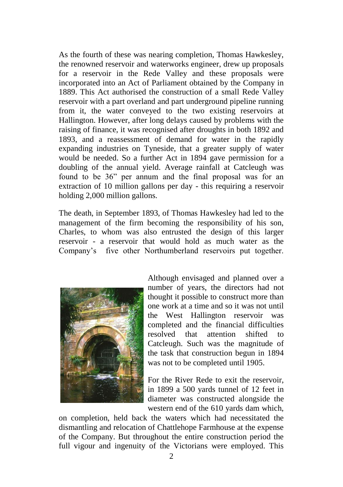As the fourth of these was nearing completion, Thomas Hawkesley, the renowned reservoir and waterworks engineer, drew up proposals for a reservoir in the Rede Valley and these proposals were incorporated into an Act of Parliament obtained by the Company in 1889. This Act authorised the construction of a small Rede Valley reservoir with a part overland and part underground pipeline running from it, the water conveyed to the two existing reservoirs at Hallington. However, after long delays caused by problems with the raising of finance, it was recognised after droughts in both 1892 and 1893, and a reassessment of demand for water in the rapidly expanding industries on Tyneside, that a greater supply of water would be needed. So a further Act in 1894 gave permission for a doubling of the annual yield. Average rainfall at Catcleugh was found to be 36" per annum and the final proposal was for an extraction of 10 million gallons per day - this requiring a reservoir holding 2,000 million gallons.

The death, in September 1893, of Thomas Hawkesley had led to the management of the firm becoming the responsibility of his son, Charles, to whom was also entrusted the design of this larger reservoir - a reservoir that would hold as much water as the Company's five other Northumberland reservoirs put together.



Although envisaged and planned over a number of years, the directors had not thought it possible to construct more than one work at a time and so it was not until the West Hallington reservoir was completed and the financial difficulties resolved that attention shifted to Catcleugh. Such was the magnitude of the task that construction begun in 1894 was not to be completed until 1905.

For the River Rede to exit the reservoir, in 1899 a 500 yards tunnel of 12 feet in diameter was constructed alongside the western end of the 610 yards dam which,

on completion, held back the waters which had necessitated the dismantling and relocation of Chattlehope Farmhouse at the expense of the Company. But throughout the entire construction period the full vigour and ingenuity of the Victorians were employed. This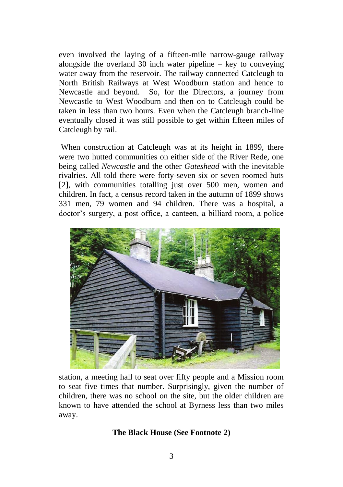even involved the laying of a fifteen-mile narrow-gauge railway alongside the overland 30 inch water pipeline  $-$  key to conveying water away from the reservoir. The railway connected Catcleugh to North British Railways at West Woodburn station and hence to Newcastle and beyond. So, for the Directors, a journey from Newcastle to West Woodburn and then on to Catcleugh could be taken in less than two hours. Even when the Catcleugh branch-line eventually closed it was still possible to get within fifteen miles of Catcleugh by rail.

When construction at Catcleugh was at its height in 1899, there were two hutted communities on either side of the River Rede, one being called *Newcastle* and the other *Gateshead* with the inevitable rivalries. All told there were forty-seven six or seven roomed huts [2], with communities totalling just over 500 men, women and children. In fact, a census record taken in the autumn of 1899 shows 331 men, 79 women and 94 children. There was a hospital, a doctor's surgery, a post office, a canteen, a billiard room, a police



station, a meeting hall to seat over fifty people and a Mission room to seat five times that number. Surprisingly, given the number of children, there was no school on the site, but the older children are known to have attended the school at Byrness less than two miles away.

## **The Black House (See Footnote 2)**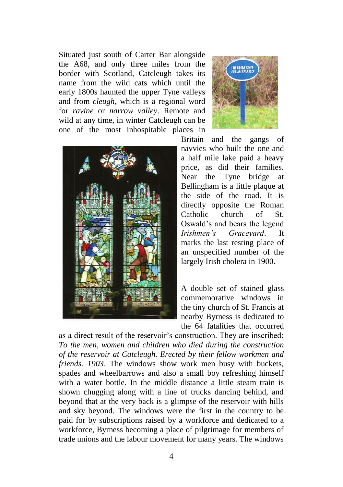Situated just south of Carter Bar alongside the A68, and only three miles from the border with Scotland, Catcleugh takes its name from the wild cats which until the early 1800s haunted the upper Tyne valleys and from *cleugh*, which is a regional word for *ravine* or *narrow valley*. Remote and wild at any time, in winter Catcleugh can be one of the most inhospitable places in





Britain and the gangs of navvies who built the one-and a half mile lake paid a heavy price, as did their families. Near the Tyne bridge at Bellingham is a little plaque at the side of the road. It is directly opposite the Roman Catholic church of St. Oswald's and bears the legend *Irishmen's Graceyard*. It marks the last resting place of an unspecified number of the largely Irish cholera in 1900.

A double set of stained glass commemorative windows in the tiny church of St. Francis at nearby Byrness is dedicated to the 64 fatalities that occurred

as a direct result of the reservoir's construction. They are inscribed: *To the men, women and children who died during the construction of the reservoir at Catcleugh. Erected by their fellow workmen and friends. 1903*. The windows show work men busy with buckets, spades and wheelbarrows and also a small boy refreshing himself with a water bottle. In the middle distance a little steam train is shown chugging along with a line of trucks dancing behind, and beyond that at the very back is a glimpse of the reservoir with hills and sky beyond. The windows were the first in the country to be paid for by subscriptions raised by a workforce and dedicated to a workforce, Byrness becoming a place of pilgrimage for members of trade unions and the labour movement for many years. The windows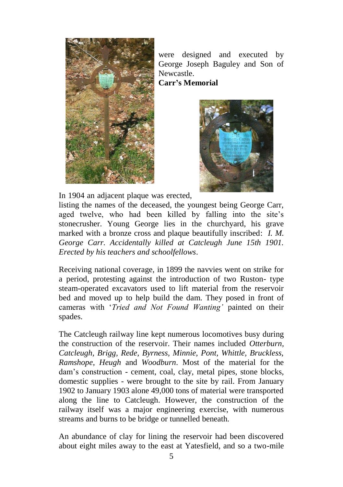

were designed and executed by George Joseph Baguley and Son of Newcastle.

**Carr's Memorial**



In 1904 an adjacent plaque was erected,

listing the names of the deceased, the youngest being George Carr, aged twelve, who had been killed by falling into the site's stonecrusher. Young George lies in the churchyard, his grave marked with a bronze cross and plaque beautifully inscribed: *I. M. George Carr. Accidentally killed at Catcleugh June 15th 1901. Erected by his teachers and schoolfellows*.

Receiving national coverage, in 1899 the navvies went on strike for a period, protesting against the introduction of two Ruston- type steam-operated excavators used to lift material from the reservoir bed and moved up to help build the dam. They posed in front of cameras with '*Tried and Not Found Wanting'* painted on their spades.

The Catcleugh railway line kept numerous locomotives busy during the construction of the reservoir. Their names included *Otterburn, Catcleugh, Brigg, Rede, Byrness, Minnie, Pont, Whittle, Bruckless, Ramshope, Heugh* and *Woodburn*. Most of the material for the dam's construction - cement, coal, clay, metal pipes, stone blocks, domestic supplies - were brought to the site by rail. From January 1902 to January 1903 alone 49,000 tons of material were transported along the line to Catcleugh. However, the construction of the railway itself was a major engineering exercise, with numerous streams and burns to be bridge or tunnelled beneath.

An abundance of clay for lining the reservoir had been discovered about eight miles away to the east at Yatesfield, and so a two-mile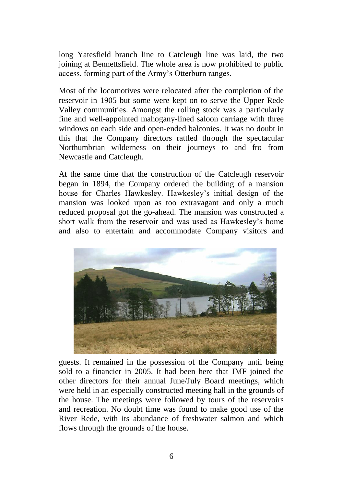long Yatesfield branch line to Catcleugh line was laid, the two joining at Bennettsfield. The whole area is now prohibited to public access, forming part of the Army's Otterburn ranges.

Most of the locomotives were relocated after the completion of the reservoir in 1905 but some were kept on to serve the Upper Rede Valley communities. Amongst the rolling stock was a particularly fine and well-appointed mahogany-lined saloon carriage with three windows on each side and open-ended balconies. It was no doubt in this that the Company directors rattled through the spectacular Northumbrian wilderness on their journeys to and fro from Newcastle and Catcleugh.

At the same time that the construction of the Catcleugh reservoir began in 1894, the Company ordered the building of a mansion house for Charles Hawkesley. Hawkesley's initial design of the mansion was looked upon as too extravagant and only a much reduced proposal got the go-ahead. The mansion was constructed a short walk from the reservoir and was used as Hawkesley's home and also to entertain and accommodate Company visitors and



guests. It remained in the possession of the Company until being sold to a financier in 2005. It had been here that JMF joined the other directors for their annual June/July Board meetings, which were held in an especially constructed meeting hall in the grounds of the house. The meetings were followed by tours of the reservoirs and recreation. No doubt time was found to make good use of the River Rede, with its abundance of freshwater salmon and which flows through the grounds of the house.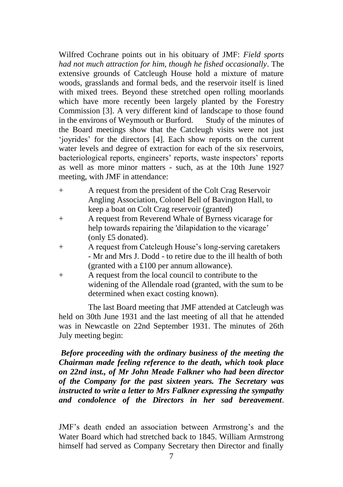Wilfred Cochrane points out in his obituary of JMF: *Field sports had not much attraction for him, though he fished occasionally*. The extensive grounds of Catcleugh House hold a mixture of mature woods, grasslands and formal beds, and the reservoir itself is lined with mixed trees. Beyond these stretched open rolling moorlands which have more recently been largely planted by the Forestry Commission [3]. A very different kind of landscape to those found in the environs of Weymouth or Burford. Study of the minutes of the Board meetings show that the Catcleugh visits were not just 'joyrides' for the directors [4]. Each show reports on the current water levels and degree of extraction for each of the six reservoirs, bacteriological reports, engineers' reports, waste inspectors' reports as well as more minor matters - such, as at the 10th June 1927 meeting, with JMF in attendance:

- + A request from the president of the Colt Crag Reservoir Angling Association, Colonel Bell of Bavington Hall, to keep a boat on Colt Crag reservoir (granted)
- + A request from Reverend Whale of Byrness vicarage for help towards repairing the 'dilapidation to the vicarage' (only £5 donated).
- + A request from Catcleugh House's long-serving caretakers - Mr and Mrs J. Dodd - to retire due to the ill health of both (granted with a £100 per annum allowance).
- + A request from the local council to contribute to the widening of the Allendale road (granted, with the sum to be determined when exact costing known).

The last Board meeting that JMF attended at Catcleugh was held on 30th June 1931 and the last meeting of all that he attended was in Newcastle on 22nd September 1931. The minutes of 26th July meeting begin:

*Before proceeding with the ordinary business of the meeting the Chairman made feeling reference to the death, which took place on 22nd inst., of Mr John Meade Falkner who had been director of the Company for the past sixteen years. The Secretary was instructed to write a letter to Mrs Falkner expressing the sympathy and condolence of the Directors in her sad bereavement*.

JMF's death ended an association between Armstrong's and the Water Board which had stretched back to 1845. William Armstrong himself had served as Company Secretary then Director and finally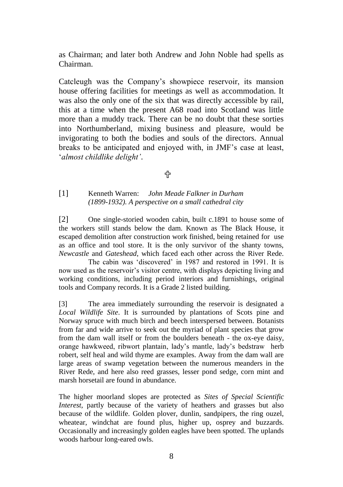as Chairman; and later both Andrew and John Noble had spells as Chairman.

Catcleugh was the Company's showpiece reservoir, its mansion house offering facilities for meetings as well as accommodation. It was also the only one of the six that was directly accessible by rail, this at a time when the present A68 road into Scotland was little more than a muddy track. There can be no doubt that these sorties into Northumberland, mixing business and pleasure, would be invigorating to both the bodies and souls of the directors. Annual breaks to be anticipated and enjoyed with, in JMF's case at least, '*almost childlike delight'*.

卝

[1] Kenneth Warren: *John Meade Falkner in Durham (1899-1932). A perspective on a small cathedral city*

[2] One single-storied wooden cabin, built c.1891 to house some of the workers still stands below the dam. Known as The Black House, it escaped demolition after construction work finished, being retained for use as an office and tool store. It is the only survivor of the shanty towns, *Newcastle* and *Gateshead*, which faced each other across the River Rede.

The cabin was 'discovered' in 1987 and restored in 1991. It is now used as the reservoir's visitor centre, with displays depicting living and working conditions, including period interiors and furnishings, original tools and Company records. It is a Grade 2 listed building.

[3] The area immediately surrounding the reservoir is designated a *Local Wildlife Site*. It is surrounded by plantations of Scots pine and Norway spruce with much birch and beech interspersed between. Botanists from far and wide arrive to seek out the myriad of plant species that grow from the dam wall itself or from the boulders beneath - the ox-eye daisy, orange hawkweed, ribwort plantain, lady's mantle, lady's bedstraw herb robert, self heal and wild thyme are examples. Away from the dam wall are large areas of swamp vegetation between the numerous meanders in the River Rede, and here also reed grasses, lesser pond sedge, corn mint and marsh horsetail are found in abundance.

The higher moorland slopes are protected as *Sites of Special Scientific Interest*, partly because of the variety of heathers and grasses but also because of the wildlife. Golden plover, dunlin, sandpipers, the ring ouzel, wheatear, windchat are found plus, higher up, osprey and buzzards. Occasionally and increasingly golden eagles have been spotted. The uplands woods harbour long-eared owls.